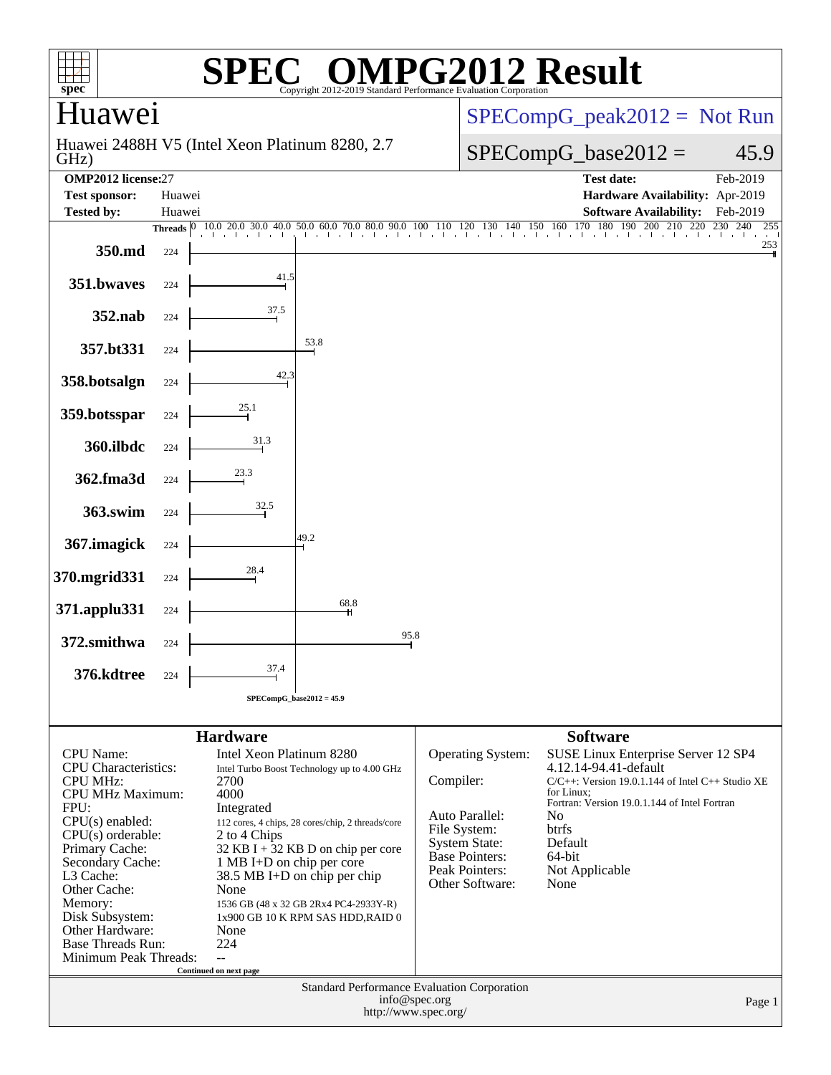| $spec*$                                           |        |                                                      | <b>SPEC<sup>®</sup> OMPG2012 Result</b><br>Copyright 2012-                                          |                                       | 2019 Standard Performance Evaluation Corporation |                 |                                                       |                |
|---------------------------------------------------|--------|------------------------------------------------------|-----------------------------------------------------------------------------------------------------|---------------------------------------|--------------------------------------------------|-----------------|-------------------------------------------------------|----------------|
| Huawei                                            |        |                                                      |                                                                                                     |                                       |                                                  |                 | $SPECompG_peak2012 = Not Run$                         |                |
| GHz)                                              |        | Huawei 2488H V5 (Intel Xeon Platinum 8280, 2.7)      |                                                                                                     |                                       |                                                  |                 | $SPECompG_base2012 =$                                 | 45.9           |
| <b>OMP2012</b> license:27<br><b>Test sponsor:</b> | Huawei |                                                      |                                                                                                     |                                       |                                                  |                 | <b>Test date:</b><br>Hardware Availability: Apr-2019  | Feb-2019       |
| <b>Tested by:</b>                                 | Huawei |                                                      |                                                                                                     |                                       |                                                  |                 | <b>Software Availability:</b>                         | Feb-2019       |
|                                                   |        | Threads 0 10.0 20.0 30.0 40.0<br>and and and and a   | $\frac{1}{20}$ 50.0 60.0 70.0 80.0 90.0 100 110 120 130 140 150 160 170 180 190 200 210 220 230 240 |                                       |                                                  |                 |                                                       | 230 240<br>255 |
| 350.md                                            | 224    |                                                      |                                                                                                     |                                       |                                                  |                 |                                                       | 253            |
| 351.bwaves                                        | 224    | 41.5                                                 |                                                                                                     |                                       |                                                  |                 |                                                       |                |
| 352.nab                                           | 224    | 37.5                                                 |                                                                                                     |                                       |                                                  |                 |                                                       |                |
| 357.bt331                                         | 224    |                                                      | 53.8                                                                                                |                                       |                                                  |                 |                                                       |                |
| 358.botsalgn                                      | 224    | 42.3                                                 |                                                                                                     |                                       |                                                  |                 |                                                       |                |
| 359.botsspar                                      | 224    | 25.1                                                 |                                                                                                     |                                       |                                                  |                 |                                                       |                |
| 360.ilbdc                                         | 224    | 31.3                                                 |                                                                                                     |                                       |                                                  |                 |                                                       |                |
| 362.fma3d                                         | 224    | 23.3                                                 |                                                                                                     |                                       |                                                  |                 |                                                       |                |
| 363.swim                                          | 224    | 32.5                                                 |                                                                                                     |                                       |                                                  |                 |                                                       |                |
| 367. imagick                                      | 224    |                                                      | 49.2                                                                                                |                                       |                                                  |                 |                                                       |                |
| 370.mgrid331                                      | 224    | 28.4                                                 |                                                                                                     |                                       |                                                  |                 |                                                       |                |
| 371.applu331                                      | 224    |                                                      | 68.8                                                                                                |                                       |                                                  |                 |                                                       |                |
| 372.smithwa                                       | 224    |                                                      | 95.8                                                                                                |                                       |                                                  |                 |                                                       |                |
| 376.kdtree                                        | 224    | 37.4                                                 |                                                                                                     |                                       |                                                  |                 |                                                       |                |
|                                                   |        | $SPECompG_base2012 = 45.9$                           |                                                                                                     |                                       |                                                  |                 |                                                       |                |
|                                                   |        |                                                      |                                                                                                     |                                       |                                                  | <b>Software</b> |                                                       |                |
| <b>CPU</b> Name:                                  |        | <b>Hardware</b><br>Intel Xeon Platinum 8280          |                                                                                                     |                                       | Operating System:                                |                 | SUSE Linux Enterprise Server 12 SP4                   |                |
| <b>CPU</b> Characteristics:                       |        | Intel Turbo Boost Technology up to 4.00 GHz          |                                                                                                     |                                       | 4.12.14-94.41-default                            |                 |                                                       |                |
| <b>CPU MHz:</b>                                   |        | 2700<br>4000                                         |                                                                                                     | Compiler:                             |                                                  | for Linux:      | $C/C++$ : Version 19.0.1.144 of Intel $C++$ Studio XE |                |
| <b>CPU MHz Maximum:</b><br>FPU:                   |        |                                                      |                                                                                                     |                                       | Fortran: Version 19.0.1.144 of Intel Fortran     |                 |                                                       |                |
| $CPU(s)$ enabled:                                 |        | Integrated                                           | 112 cores, 4 chips, 28 cores/chip, 2 threads/core                                                   | File System:                          | Auto Parallel:                                   | No<br>btrfs     |                                                       |                |
| $CPU(s)$ orderable:<br>Primary Cache:             |        | 2 to 4 Chips<br>$32$ KB I + 32 KB D on chip per core | <b>System State:</b>                                                                                |                                       | Default                                          |                 |                                                       |                |
| Secondary Cache:                                  |        | 1 MB I+D on chip per core                            |                                                                                                     | <b>Base Pointers:</b>                 | 64-bit                                           |                 |                                                       |                |
| L3 Cache:                                         |        | 38.5 MB I+D on chip per chip                         |                                                                                                     | Peak Pointers:<br>Other Software:     | Not Applicable<br>None                           |                 |                                                       |                |
| Other Cache:<br>Memory:                           |        | None<br>1536 GB (48 x 32 GB 2Rx4 PC4-2933Y-R)        |                                                                                                     |                                       |                                                  |                 |                                                       |                |
| Disk Subsystem:                                   |        |                                                      | 1x900 GB 10 K RPM SAS HDD, RAID 0                                                                   |                                       |                                                  |                 |                                                       |                |
| Other Hardware:<br><b>Base Threads Run:</b>       |        | None<br>224                                          |                                                                                                     |                                       |                                                  |                 |                                                       |                |
| Minimum Peak Threads:                             |        | $\mathbf{u}$                                         |                                                                                                     |                                       |                                                  |                 |                                                       |                |
|                                                   |        | Continued on next page                               |                                                                                                     |                                       |                                                  |                 |                                                       |                |
|                                                   |        |                                                      | Standard Performance Evaluation Corporation                                                         | info@spec.org<br>http://www.spec.org/ |                                                  |                 |                                                       | Page 1         |
|                                                   |        |                                                      |                                                                                                     |                                       |                                                  |                 |                                                       |                |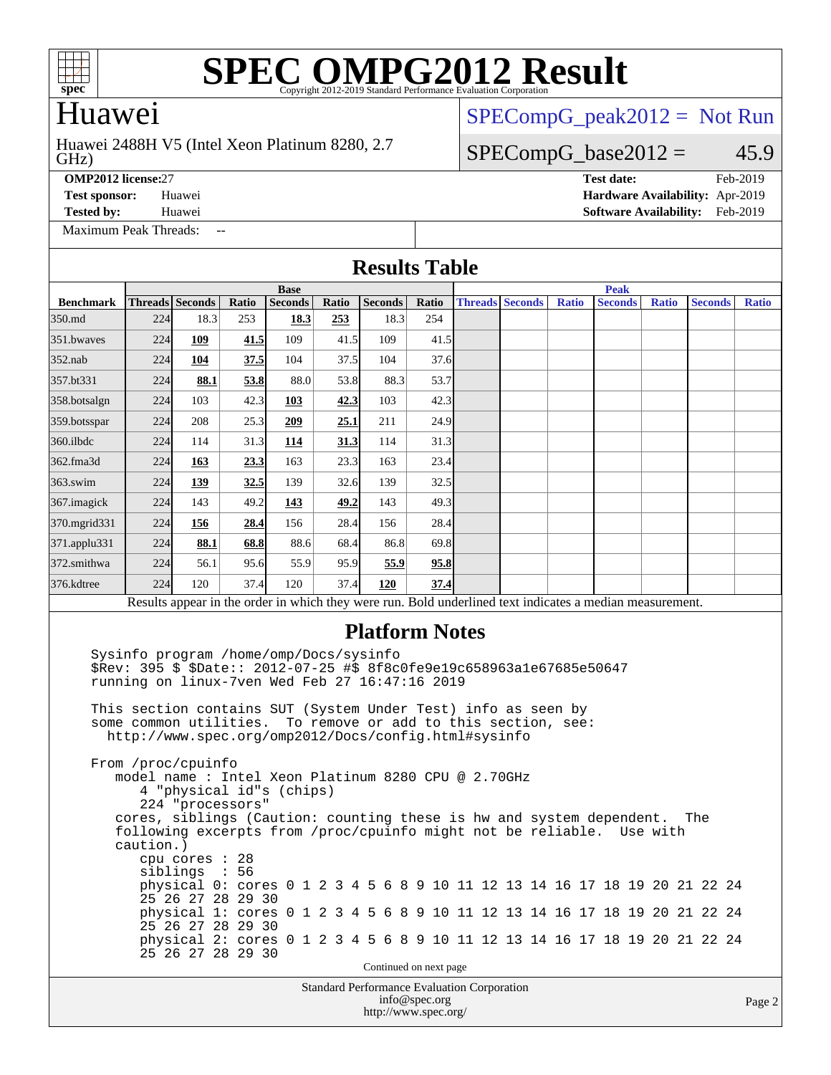

### Huawei

#### GHz) Huawei 2488H V5 (Intel Xeon Platinum 8280, 2.7

[SPECompG\\_peak2012 =](http://www.spec.org/auto/omp2012/Docs/result-fields.html#SPECompGpeak2012) Not Run

#### $SPECompG_base2012 = 45.9$  $SPECompG_base2012 = 45.9$

[Maximum Peak Threads:](http://www.spec.org/auto/omp2012/Docs/result-fields.html#MaximumPeakThreads) --

**[OMP2012 license:](http://www.spec.org/auto/omp2012/Docs/result-fields.html#OMP2012license)**27 **[Test date:](http://www.spec.org/auto/omp2012/Docs/result-fields.html#Testdate)** Feb-2019 **[Test sponsor:](http://www.spec.org/auto/omp2012/Docs/result-fields.html#Testsponsor)** Huawei **[Hardware Availability:](http://www.spec.org/auto/omp2012/Docs/result-fields.html#HardwareAvailability)** Apr-2019 **[Tested by:](http://www.spec.org/auto/omp2012/Docs/result-fields.html#Testedby)** Huawei **[Software Availability:](http://www.spec.org/auto/omp2012/Docs/result-fields.html#SoftwareAvailability)** Feb-2019

Page 2

| <b>Results Table</b> |           |                                                                                                                  |       |                                                                                                                                                                                                                                                                                                                                                                                                                                                                                                                                                                                                                                                                                                                                                                                        |       |                                             |               |  |                        |              |  |                |              |                |              |
|----------------------|-----------|------------------------------------------------------------------------------------------------------------------|-------|----------------------------------------------------------------------------------------------------------------------------------------------------------------------------------------------------------------------------------------------------------------------------------------------------------------------------------------------------------------------------------------------------------------------------------------------------------------------------------------------------------------------------------------------------------------------------------------------------------------------------------------------------------------------------------------------------------------------------------------------------------------------------------------|-------|---------------------------------------------|---------------|--|------------------------|--------------|--|----------------|--------------|----------------|--------------|
|                      |           |                                                                                                                  |       | <b>Base</b>                                                                                                                                                                                                                                                                                                                                                                                                                                                                                                                                                                                                                                                                                                                                                                            |       |                                             |               |  |                        |              |  | <b>Peak</b>    |              |                |              |
| <b>Benchmark</b>     |           | Threads Seconds                                                                                                  | Ratio | Seconds                                                                                                                                                                                                                                                                                                                                                                                                                                                                                                                                                                                                                                                                                                                                                                                | Ratio | <b>Seconds</b>                              | Ratio         |  | <b>Threads Seconds</b> | <b>Ratio</b> |  | <b>Seconds</b> | <b>Ratio</b> | <b>Seconds</b> | <b>Ratio</b> |
| 350.md               | 224       | 18.3                                                                                                             | 253   | 18.3                                                                                                                                                                                                                                                                                                                                                                                                                                                                                                                                                                                                                                                                                                                                                                                   | 253   | 18.3                                        | 254           |  |                        |              |  |                |              |                |              |
| 351.bwaves           | 224       | 109                                                                                                              | 41.5  | 109                                                                                                                                                                                                                                                                                                                                                                                                                                                                                                                                                                                                                                                                                                                                                                                    | 41.5  | 109                                         | 41.5          |  |                        |              |  |                |              |                |              |
| $352$ .nab           | 224       | 104                                                                                                              | 37.5  | 104                                                                                                                                                                                                                                                                                                                                                                                                                                                                                                                                                                                                                                                                                                                                                                                    | 37.5  | 104                                         | 37.6          |  |                        |              |  |                |              |                |              |
| 357.bt331            | 224       | 88.1                                                                                                             | 53.8  | 88.0                                                                                                                                                                                                                                                                                                                                                                                                                                                                                                                                                                                                                                                                                                                                                                                   | 53.8  | 88.3                                        | 53.7          |  |                        |              |  |                |              |                |              |
| 358.botsalgn         | 224       | 103                                                                                                              | 42.3  | 103                                                                                                                                                                                                                                                                                                                                                                                                                                                                                                                                                                                                                                                                                                                                                                                    | 42.3  | 103                                         | 42.3          |  |                        |              |  |                |              |                |              |
| 359.botsspar         | 224       | 208                                                                                                              | 25.3  | 209                                                                                                                                                                                                                                                                                                                                                                                                                                                                                                                                                                                                                                                                                                                                                                                    | 25.1  | 211                                         | 24.9          |  |                        |              |  |                |              |                |              |
| 360.ilbdc            | 224       | 114                                                                                                              | 31.3  | 114                                                                                                                                                                                                                                                                                                                                                                                                                                                                                                                                                                                                                                                                                                                                                                                    | 31.3  | 114                                         | 31.3          |  |                        |              |  |                |              |                |              |
| 362.fma3d            | 224       | 163                                                                                                              | 23.3  | 163                                                                                                                                                                                                                                                                                                                                                                                                                                                                                                                                                                                                                                                                                                                                                                                    | 23.3  | 163                                         | 23.4          |  |                        |              |  |                |              |                |              |
| 363.swim             | 224       | 139                                                                                                              | 32.5  | 139                                                                                                                                                                                                                                                                                                                                                                                                                                                                                                                                                                                                                                                                                                                                                                                    | 32.6  | 139                                         | 32.5          |  |                        |              |  |                |              |                |              |
| 367.imagick          | 224       | 143                                                                                                              | 49.2  | 143                                                                                                                                                                                                                                                                                                                                                                                                                                                                                                                                                                                                                                                                                                                                                                                    | 49.2  | 143                                         | 49.3          |  |                        |              |  |                |              |                |              |
| 370.mgrid331         | 224       | 156                                                                                                              | 28.4  | 156                                                                                                                                                                                                                                                                                                                                                                                                                                                                                                                                                                                                                                                                                                                                                                                    | 28.4  | 156                                         | 28.4          |  |                        |              |  |                |              |                |              |
| 371.applu331         | 224       | 88.1                                                                                                             | 68.8  | 88.6                                                                                                                                                                                                                                                                                                                                                                                                                                                                                                                                                                                                                                                                                                                                                                                   | 68.4  | 86.8                                        | 69.8          |  |                        |              |  |                |              |                |              |
| 372.smithwa          | 224       | 56.1                                                                                                             | 95.6  | 55.9                                                                                                                                                                                                                                                                                                                                                                                                                                                                                                                                                                                                                                                                                                                                                                                   | 95.9  | 55.9                                        | 95.8          |  |                        |              |  |                |              |                |              |
| 376.kdtree           | 224       | 120                                                                                                              | 37.4  | 120                                                                                                                                                                                                                                                                                                                                                                                                                                                                                                                                                                                                                                                                                                                                                                                    | 37.4  | 120                                         | 37.4          |  |                        |              |  |                |              |                |              |
|                      |           |                                                                                                                  |       | Results appear in the order in which they were run. Bold underlined text indicates a median measurement.                                                                                                                                                                                                                                                                                                                                                                                                                                                                                                                                                                                                                                                                               |       |                                             |               |  |                        |              |  |                |              |                |              |
|                      | caution.) | From /proc/cpuinfo<br>224 "processors"<br>cpu cores $: 28$<br>siblings<br>25 26 27 28 29 30<br>25 26 27 28 29 30 | : 56  | \$Rev: 395 \$ \$Date:: 2012-07-25 #\$ 8f8c0fe9e19c658963a1e67685e50647<br>running on linux-7ven Wed Feb 27 16:47:16 2019<br>This section contains SUT (System Under Test) info as seen by<br>some common utilities. To remove or add to this section, see:<br>http://www.spec.org/omp2012/Docs/config.html#sysinfo<br>model name: Intel Xeon Platinum 8280 CPU @ 2.70GHz<br>4 "physical id"s (chips)<br>cores, siblings (Caution: counting these is hw and system dependent.<br>following excerpts from /proc/cpuinfo might not be reliable.<br>physical 0: cores 0 1 2 3 4 5 6 8 9 10 11 12 13 14 16 17 18 19 20 21 22 24<br>physical 1: cores 0 1 2 3 4 5 6 8 9 10 11 12 13 14 16 17 18 19 20 21 22 24<br>physical 2: cores 0 1 2 3 4 5 6 8 9 10 11 12 13 14 16 17 18 19 20 21 22 24 |       |                                             |               |  |                        |              |  |                | Use with     | The            |              |
|                      |           | 25 26 27 28 29 30                                                                                                |       |                                                                                                                                                                                                                                                                                                                                                                                                                                                                                                                                                                                                                                                                                                                                                                                        |       | Continued on next page                      |               |  |                        |              |  |                |              |                |              |
|                      |           |                                                                                                                  |       |                                                                                                                                                                                                                                                                                                                                                                                                                                                                                                                                                                                                                                                                                                                                                                                        |       | Standard Performance Evaluation Corporation |               |  |                        |              |  |                |              |                |              |
|                      |           |                                                                                                                  |       |                                                                                                                                                                                                                                                                                                                                                                                                                                                                                                                                                                                                                                                                                                                                                                                        |       |                                             | info@spec.org |  |                        |              |  |                |              |                | Page 2       |

<http://www.spec.org/>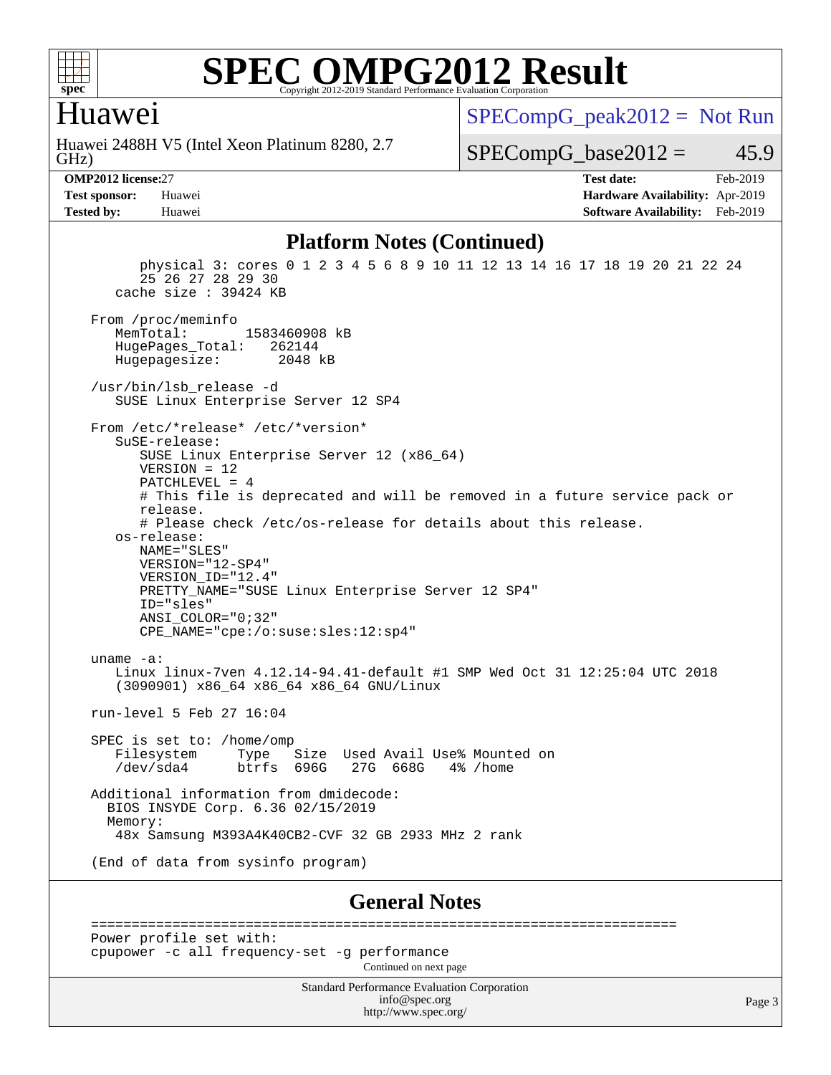

#### Huawei

GHz) Huawei 2488H V5 (Intel Xeon Platinum 8280, 2.7  $SPECompG_peak2012 = Not Run$  $SPECompG_peak2012 = Not Run$ 

 $SPECompG_base2012 = 45.9$  $SPECompG_base2012 = 45.9$ 

**[OMP2012 license:](http://www.spec.org/auto/omp2012/Docs/result-fields.html#OMP2012license)**27 **[Test date:](http://www.spec.org/auto/omp2012/Docs/result-fields.html#Testdate)** Feb-2019 **[Test sponsor:](http://www.spec.org/auto/omp2012/Docs/result-fields.html#Testsponsor)** Huawei **[Hardware Availability:](http://www.spec.org/auto/omp2012/Docs/result-fields.html#HardwareAvailability)** Apr-2019 **[Tested by:](http://www.spec.org/auto/omp2012/Docs/result-fields.html#Testedby)** Huawei **[Software Availability:](http://www.spec.org/auto/omp2012/Docs/result-fields.html#SoftwareAvailability)** Feb-2019

#### **[Platform Notes \(Continued\)](http://www.spec.org/auto/omp2012/Docs/result-fields.html#PlatformNotes)**

 physical 3: cores 0 1 2 3 4 5 6 8 9 10 11 12 13 14 16 17 18 19 20 21 22 24 25 26 27 28 29 30 cache size : 39424 KB From /proc/meminfo<br>MemTotal: 1583460908 kB HugePages\_Total: 262144 Hugepagesize: 2048 kB /usr/bin/lsb\_release -d SUSE Linux Enterprise Server 12 SP4 From /etc/\*release\* /etc/\*version\* SuSE-release: SUSE Linux Enterprise Server 12 (x86\_64) VERSION = 12 PATCHLEVEL = 4 # This file is deprecated and will be removed in a future service pack or release. # Please check /etc/os-release for details about this release. os-release: NAME="SLES" VERSION="12-SP4" VERSION\_ID="12.4" PRETTY NAME="SUSE Linux Enterprise Server 12 SP4" ID="sles" ANSI\_COLOR="0;32" CPE\_NAME="cpe:/o:suse:sles:12:sp4" uname -a: Linux linux-7ven 4.12.14-94.41-default #1 SMP Wed Oct 31 12:25:04 UTC 2018 (3090901) x86\_64 x86\_64 x86\_64 GNU/Linux run-level 5 Feb 27 16:04 SPEC is set to: /home/omp Filesystem Type Size Used-Avail-Use%-Mounted-on-<br>  $\sqrt{27}$  /dev/sda4 btrfs 696G 27G 668G 4%-/home  $b$ trfs 696G Additional information from dmidecode: BIOS INSYDE Corp. 6.36 02/15/2019 Memory: 48x Samsung M393A4K40CB2-CVF 32 GB 2933 MHz 2 rank (End of data from sysinfo program) **[General Notes](http://www.spec.org/auto/omp2012/Docs/result-fields.html#GeneralNotes)** ======================================================================== Power profile set with: cpupower -c all frequency-set -g performance Continued on next page

> Standard Performance Evaluation Corporation [info@spec.org](mailto:info@spec.org) <http://www.spec.org/>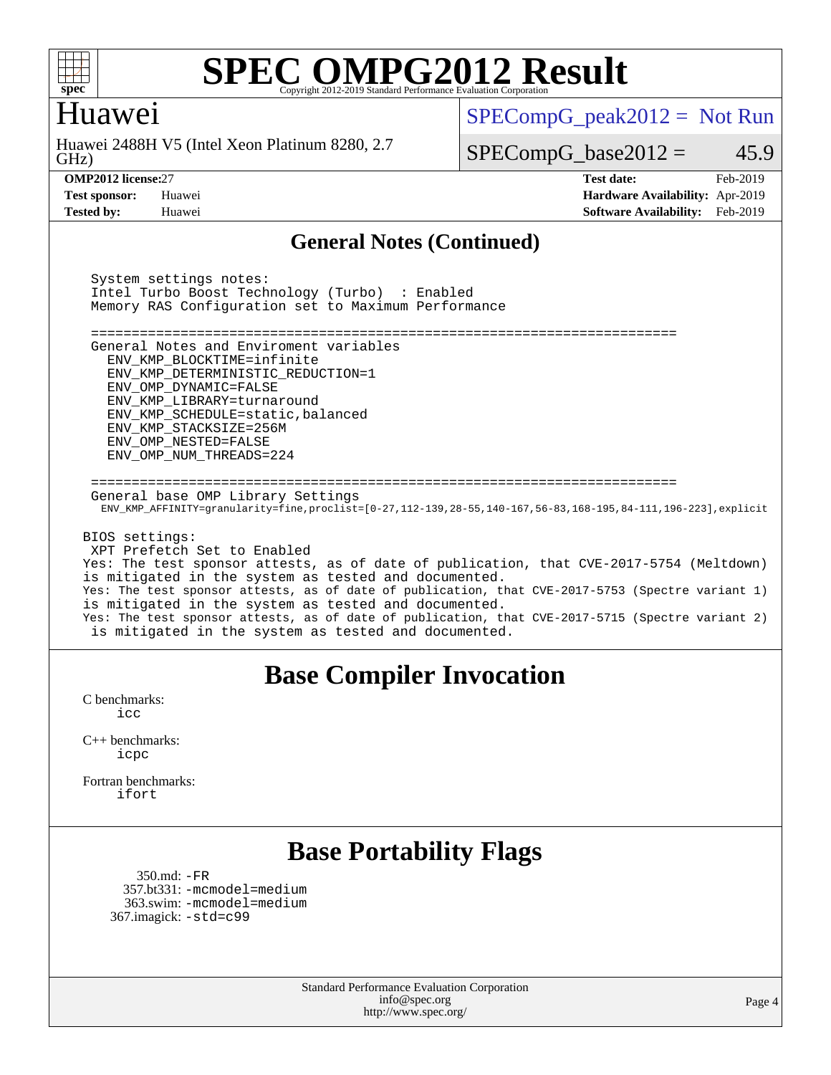

#### Huawei

GHz) Huawei 2488H V5 (Intel Xeon Platinum 8280, 2.7  $SPECompG_peak2012 = Not Run$  $SPECompG_peak2012 = Not Run$ 

 $SPECompG_base2012 = 45.9$  $SPECompG_base2012 = 45.9$ 

**[OMP2012 license:](http://www.spec.org/auto/omp2012/Docs/result-fields.html#OMP2012license)**27 **[Test date:](http://www.spec.org/auto/omp2012/Docs/result-fields.html#Testdate)** Feb-2019 **[Test sponsor:](http://www.spec.org/auto/omp2012/Docs/result-fields.html#Testsponsor)** Huawei **[Hardware Availability:](http://www.spec.org/auto/omp2012/Docs/result-fields.html#HardwareAvailability)** Apr-2019 **[Tested by:](http://www.spec.org/auto/omp2012/Docs/result-fields.html#Testedby)** Huawei **[Software Availability:](http://www.spec.org/auto/omp2012/Docs/result-fields.html#SoftwareAvailability)** Feb-2019

#### **[General Notes \(Continued\)](http://www.spec.org/auto/omp2012/Docs/result-fields.html#GeneralNotes)**

 System settings notes: Intel Turbo Boost Technology (Turbo) : Enabled Memory RAS Configuration set to Maximum Performance ======================================================================== General Notes and Enviroment variables ENV\_KMP\_BLOCKTIME=infinite ENV\_KMP\_DETERMINISTIC\_REDUCTION=1 ENV\_OMP\_DYNAMIC=FALSE ENV\_KMP\_LIBRARY=turnaround ENV\_KMP\_SCHEDULE=static,balanced ENV\_KMP\_STACKSIZE=256M ENV\_OMP\_NESTED=FALSE ENV\_OMP\_NUM\_THREADS=224 ======================================================================== General base OMP Library Settings ENV\_KMP\_AFFINITY=granularity=fine,proclist=[0-27,112-139,28-55,140-167,56-83,168-195,84-111,196-223],explicit BIOS settings: XPT Prefetch Set to Enabled Yes: The test sponsor attests, as of date of publication, that CVE-2017-5754 (Meltdown) is mitigated in the system as tested and documented. Yes: The test sponsor attests, as of date of publication, that CVE-2017-5753 (Spectre variant 1) is mitigated in the system as tested and documented. Yes: The test sponsor attests, as of date of publication, that CVE-2017-5715 (Spectre variant 2) is mitigated in the system as tested and documented.

#### **[Base Compiler Invocation](http://www.spec.org/auto/omp2012/Docs/result-fields.html#BaseCompilerInvocation)**

[C benchmarks](http://www.spec.org/auto/omp2012/Docs/result-fields.html#Cbenchmarks): [icc](http://www.spec.org/omp2012/results/res2019q2/omp2012-20190313-00169.flags.html#user_CCbase_intel_icc_a87c68a857bc5ec5362391a49d3a37a6)

[C++ benchmarks:](http://www.spec.org/auto/omp2012/Docs/result-fields.html#CXXbenchmarks) [icpc](http://www.spec.org/omp2012/results/res2019q2/omp2012-20190313-00169.flags.html#user_CXXbase_intel_icpc_2d899f8d163502b12eb4a60069f80c1c)

[Fortran benchmarks](http://www.spec.org/auto/omp2012/Docs/result-fields.html#Fortranbenchmarks): [ifort](http://www.spec.org/omp2012/results/res2019q2/omp2012-20190313-00169.flags.html#user_FCbase_intel_ifort_8a5e5e06b19a251bdeaf8fdab5d62f20)

### **[Base Portability Flags](http://www.spec.org/auto/omp2012/Docs/result-fields.html#BasePortabilityFlags)**

 350.md: [-FR](http://www.spec.org/omp2012/results/res2019q2/omp2012-20190313-00169.flags.html#user_baseFPORTABILITY350_md_f-FR) 357.bt331: [-mcmodel=medium](http://www.spec.org/omp2012/results/res2019q2/omp2012-20190313-00169.flags.html#user_basePORTABILITY357_bt331_f-mcmodel_3a41622424bdd074c4f0f2d2f224c7e5) 363.swim: [-mcmodel=medium](http://www.spec.org/omp2012/results/res2019q2/omp2012-20190313-00169.flags.html#user_basePORTABILITY363_swim_f-mcmodel_3a41622424bdd074c4f0f2d2f224c7e5) 367.imagick: [-std=c99](http://www.spec.org/omp2012/results/res2019q2/omp2012-20190313-00169.flags.html#user_baseCPORTABILITY367_imagick_f-std_2ec6533b6e06f1c4a6c9b78d9e9cde24)

> Standard Performance Evaluation Corporation [info@spec.org](mailto:info@spec.org) <http://www.spec.org/>